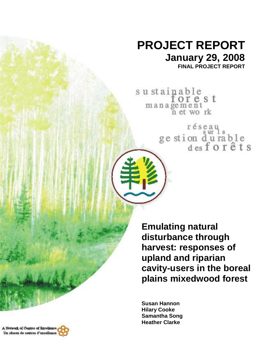# **PROJECT REPORT January 29, 2008**

**FINAL PROJECT REPORT** 

sustainable<br>forest management n et work

réseau<br>ge stion d'urable<br>des forêts

**Emulating natural disturbance through harvest: responses of upland and riparian cavity-users in the boreal plains mixedwood forest** 

**Susan Hannon Hilary Cooke Samantha Song Heather Clarke** 

A Network of Cantres of Rzeelisnee, Un réseau de centres d'excellence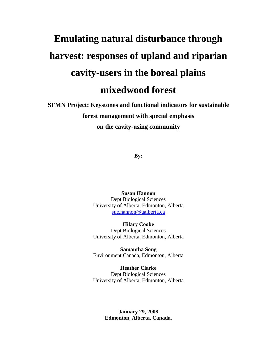# **Emulating natural disturbance through harvest: responses of upland and riparian cavity-users in the boreal plains mixedwood forest**

**SFMN Project: Keystones and functional indicators for sustainable forest management with special emphasis on the cavity-using community** 

**By:** 

**Susan Hannon**  Dept Biological Sciences University of Alberta, Edmonton, Alberta sue.hannon@ualberta.ca

**Hilary Cooke**  Dept Biological Sciences University of Alberta, Edmonton, Alberta

**Samantha Song**  Environment Canada, Edmonton, Alberta

**Heather Clarke**  Dept Biological Sciences University of Alberta, Edmonton, Alberta

> **January 29, 2008 Edmonton, Alberta, Canada.**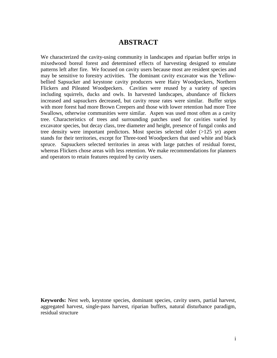## **ABSTRACT**

We characterized the cavity-using community in landscapes and riparian buffer strips in mixedwood boreal forest and determined effects of harvesting designed to emulate patterns left after fire. We focused on cavity users because most are resident species and may be sensitive to forestry activities. The dominant cavity excavator was the Yellowbellied Sapsucker and keystone cavity producers were Hairy Woodpeckers, Northern Flickers and Pileated Woodpeckers. Cavities were reused by a variety of species including squirrels, ducks and owls. In harvested landscapes, abundance of flickers increased and sapsuckers decreased, but cavity reuse rates were similar. Buffer strips with more forest had more Brown Creepers and those with lower retention had more Tree Swallows, otherwise communities were similar. Aspen was used most often as a cavity tree. Characteristics of trees and surrounding patches used for cavities varied by excavator species, but decay class, tree diameter and height, presence of fungal conks and tree density were important predictors. Most species selected older (>125 yr) aspen stands for their territories, except for Three-toed Woodpeckers that used white and black spruce. Sapsuckers selected territories in areas with large patches of residual forest, whereas Flickers chose areas with less retention. We make recommendations for planners and operators to retain features required by cavity users.

**Keywords:** Nest web, keystone species, dominant species, cavity users, partial harvest, aggregated harvest, single-pass harvest, riparian buffers, natural disturbance paradigm, residual structure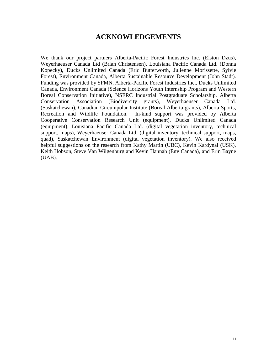# **ACKNOWLEDGEMENTS**

We thank our project partners Alberta-Pacific Forest Industries Inc. (Elston Dzus), Weyerhaeuser Canada Ltd (Brian Christensen), Louisiana Pacific Canada Ltd. (Donna Kopecky), Ducks Unlimited Canada (Eric Butterworth, Julienne Morissette, Sylvie Forest), Environment Canada, Alberta Sustainable Resource Development (John Stadt). Funding was provided by SFMN, Alberta-Pacific Forest Industries Inc., Ducks Unlimited Canada, Environment Canada (Science Horizons Youth Internship Program and Western Boreal Conservation Initiative), NSERC Industrial Postgraduate Scholarship, Alberta Conservation Association (Biodiversity grants), Weyerhaeuser Canada Ltd. (Saskatchewan), Canadian Circumpolar Institute (Boreal Alberta grants), Alberta Sports, Recreation and Wildlife Foundation. In-kind support was provided by Alberta Cooperative Conservation Research Unit (equipment), Ducks Unlimited Canada (equipment), Louisiana Pacific Canada Ltd. (digital vegetation inventory, technical support, maps), Weyerhaeuser Canada Ltd. (digital inventory, technical support, maps, quad), Saskatchewan Environment (digital vegetation inventory). We also received helpful suggestions on the research from Kathy Martin (UBC), Kevin Kardynal (USK), Keith Hobson, Steve Van Wilgenburg and Kevin Hannah (Env Canada), and Erin Bayne  $(UAB)$ .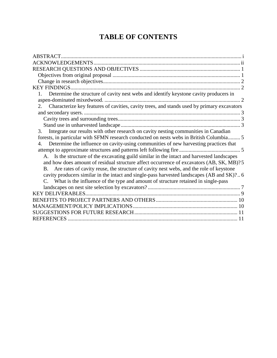# **TABLE OF CONTENTS**

| <b>KEY FINDINGS</b>                                                                                      |  |
|----------------------------------------------------------------------------------------------------------|--|
| Determine the structure of cavity nest webs and identify keystone cavity producers in                    |  |
|                                                                                                          |  |
| 2. Characterize key features of cavities, cavity trees, and stands used by primary excavators            |  |
|                                                                                                          |  |
|                                                                                                          |  |
|                                                                                                          |  |
| Integrate our results with other research on cavity nesting communities in Canadian<br>3.                |  |
| forests, in particular with SFMN research conducted on nests webs in British Columbia 5                  |  |
| Determine the influence on cavity-using communities of new harvesting practices that<br>$\overline{4}$ . |  |
|                                                                                                          |  |
| A. Is the structure of the excavating guild similar in the intact and harvested landscapes               |  |
| and how does amount of residual structure affect occurrence of excavators (AB, SK, MB)?5                 |  |
| Are rates of cavity reuse, the structure of cavity nest webs, and the role of keystone<br>B.             |  |
| cavity producers similar in the intact and single-pass harvested landscapes (AB and SK)? 6               |  |
| C. What is the influence of the type and amount of structure retained in single-pass                     |  |
|                                                                                                          |  |
|                                                                                                          |  |
|                                                                                                          |  |
|                                                                                                          |  |
|                                                                                                          |  |
|                                                                                                          |  |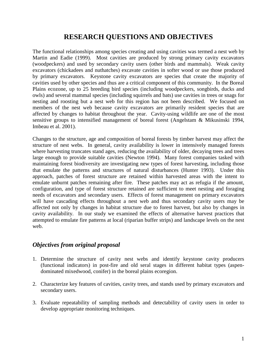# **RESEARCH QUESTIONS AND OBJECTIVES**

The functional relationships among species creating and using cavities was termed a nest web by Martin and Eadie (1999). Most cavities are produced by strong primary cavity excavators (woodpeckers) and used by secondary cavity users (other birds and mammals). Weak cavity excavators (chickadees and nuthatches) excavate cavities in softer wood or use those produced by primary excavators. Keystone cavity excavators are species that create the majority of cavities used by other species and thus are a critical component of this community. In the Boreal Plains ecozone, up to 25 breeding bird species (including woodpeckers, songbirds, ducks and owls) and several mammal species (including squirrels and bats) use cavities in trees or snags for nesting and roosting but a nest web for this region has not been described. We focused on members of the nest web because cavity excavators are primarily resident species that are affected by changes to habitat throughout the year. Cavity-using wildlife are one of the most sensitive groups to intensified management of boreal forest (Angelstam & Mikusinski 1994, Imbeau et al. 2001).

Changes to the structure, age and composition of boreal forests by timber harvest may affect the structure of nest webs. In general, cavity availability is lower in intensively managed forests where harvesting truncates stand ages, reducing the availability of older, decaying trees and trees large enough to provide suitable cavities (Newton 1994). Many forest companies tasked with maintaining forest biodiversity are investigating new types of forest harvesting, including those that emulate the patterns and structures of natural disturbances (Hunter 1993). Under this approach, patches of forest structure are retained within harvested areas with the intent to emulate unburnt patches remaining after fire. These patches may act as refugia if the amount, configuration, and type of forest structure retained are sufficient to meet nesting and foraging needs of excavators and secondary users. Effects of forest management on primary excavators will have cascading effects throughout a nest web and thus secondary cavity users may be affected not only by changes in habitat structure due to forest harvest, but also by changes in cavity availability. In our study we examined the effects of alternative harvest practices that attempted to emulate fire patterns at local (riparian buffer strips) and landscape levels on the nest web.

## *Objectives from original proposal*

- 1. Determine the structure of cavity nest webs and identify keystone cavity producers (functional indicators) in post-fire and old seral stages in different habitat types (aspendominated mixedwood, conifer) in the boreal plains ecoregion.
- 2. Characterize key features of cavities, cavity trees, and stands used by primary excavators and secondary users.
- 3. Evaluate repeatability of sampling methods and detectability of cavity users in order to develop appropriate monitoring techniques.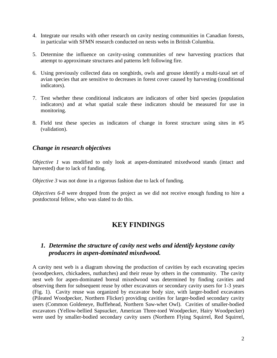- 4. Integrate our results with other research on cavity nesting communities in Canadian forests, in particular with SFMN research conducted on nests webs in British Columbia.
- 5. Determine the influence on cavity-using communities of new harvesting practices that attempt to approximate structures and patterns left following fire.
- 6. Using previously collected data on songbirds, owls and grouse identify a multi-taxal set of avian species that are sensitive to decreases in forest cover caused by harvesting (conditional indicators).
- 7. Test whether these conditional indicators are indicators of other bird species (population indicators) and at what spatial scale these indicators should be measured for use in monitoring.
- 8. Field test these species as indicators of change in forest structure using sites in #5 (validation).

#### *Change in research objectives*

*Objective 1* was modified to only look at aspen-dominated mixedwood stands (intact and harvested) due to lack of funding.

*Objective 3* was not done in a rigorous fashion due to lack of funding.

*Objectives 6-8* were dropped from the project as we did not receive enough funding to hire a postdoctoral fellow, who was slated to do this.

# **KEY FINDINGS**

### *1. Determine the structure of cavity nest webs and identify keystone cavity producers in aspen-dominated mixedwood.*

A cavity nest web is a diagram showing the production of cavities by each excavating species (woodpeckers, chickadees, nuthatches) and their reuse by others in the community. The cavity nest web for aspen-dominated boreal mixedwood was determined by finding cavities and observing them for subsequent reuse by other excavators or secondary cavity users for 1-3 years (Fig. 1). Cavity reuse was organized by excavator body size, with larger-bodied excavators (Pileated Woodpecker, Northern Flicker) providing cavities for larger-bodied secondary cavity users (Common Goldeneye, Bufflehead, Northern Saw-whet Owl). Cavities of smaller-bodied excavators (Yellow-bellied Sapsucker, American Three-toed Woodpecker, Hairy Woodpecker) were used by smaller-bodied secondary cavity users (Northern Flying Squirrel, Red Squirrel,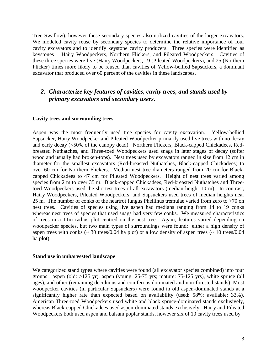Tree Swallow), however these secondary species also utilized cavities of the larger excavators. We modeled cavity reuse by secondary species to determine the relative importance of four cavity excavators and to identify keystone cavity producers. Three species were identified as keystones – Hairy Woodpeckers, Northern Flickers, and Pileated Woodpeckers. Cavities of these three species were five (Hairy Woodpecker), 19 (Pileated Woodpeckers), and 25 (Northern Flicker) times more likely to be reused than cavities of Yellow-bellied Sapsuckers, a dominant excavator that produced over 60 percent of the cavities in these landscapes.

## *2. Characterize key features of cavities, cavity trees, and stands used by primary excavators and secondary users.*

#### **Cavity trees and surrounding trees**

Aspen was the most frequently used tree species for cavity excavation. Yellow-bellied Sapsucker, Hairy Woodpecker and Pileated Woodpecker primarily used live trees with no decay and early decay (<50% of the canopy dead). Northern Flickers, Black-capped Chickadees, Redbreasted Nuthatches, and Three-toed Woodpeckers used snags in later stages of decay (softer wood and usually had broken-tops). Nest trees used by excavators ranged in size from 12 cm in diameter for the smallest excavators (Red-breasted Nuthatches, Black-capped Chickadees) to over 60 cm for Northern Flickers. Median nest tree diameters ranged from 20 cm for Blackcapped Chickadees to 47 cm for Pileated Woodpeckers. Height of nest trees varied among species from 2 m to over 35 m. Black-capped Chickadees, Red-breasted Nuthatches and Threetoed Woodpeckers used the shortest trees of all excavators (median height 10 m). In contrast, Hairy Woodpeckers, Pileated Woodpeckers, and Sapsuckers used trees of median heights near 25 m. The number of conks of the heartrot fungus Phellinus tremulae varied from zero to >70 on nest trees. Cavities of species using live aspen had medians ranging from 14 to 19 conks whereas nest trees of species that used snags had very few conks. We measured characteristics of trees in a 11m radius plot centred on the nest tree. Again, features varied depending on woodpecker species, but two main types of surroundings were found: either a high density of aspen trees with conks  $\sim$  30 trees/0.04 ha plot) or a low density of aspen trees  $\sim$  10 trees/0.04 ha plot).

#### **Stand use in unharvested landscape**

We categorized stand types where cavities were found (all excavator species combined) into four groups: aspen (old: >125 yr), aspen (young: 25-75 yrs; mature: 75-125 yrs), white spruce (all ages), and other (remaining deciduous and coniferous dominated and non-forested stands). Most woodpecker cavities (in particular Sapsuckers) were found in old aspen-dominated stands at a significantly higher rate than expected based on availability (used: 58%; available: 33%). American Three-toed Woodpeckers used white and black spruce-dominated stands exclusively, whereas Black-capped Chickadees used aspen-dominated stands exclusively. Hairy and Pileated Woodpeckers both used aspen and balsam poplar stands, however six of 10 cavity trees used by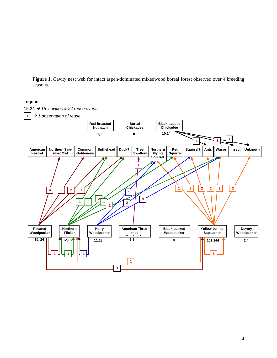**Figure 1.** Cavity nest web for intact aspen-dominated mixedwood boreal forest observed over 4 breeding seasons.

#### **Legend**

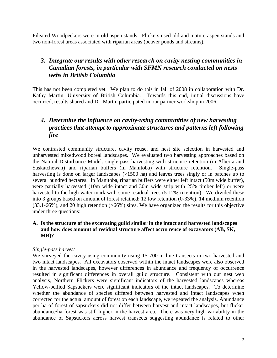Pileated Woodpeckers were in old aspen stands. Flickers used old and mature aspen stands and two non-forest areas associated with riparian areas (beaver ponds and streams).

## *3. Integrate our results with other research on cavity nesting communities in Canadian forests, in particular with SFMN research conducted on nests webs in British Columbia*

This has not been completed yet. We plan to do this in fall of 2008 in collaboration with Dr. Kathy Martin, University of British Columbia. Towards this end, initial discussions have occurred, results shared and Dr. Martin participated in our partner workshop in 2006.

# *4. Determine the influence on cavity-using communities of new harvesting practices that attempt to approximate structures and patterns left following fire*

We contrasted community structure, cavity reuse, and nest site selection in harvested and unharvested mixedwood boreal landscapes. We evaluated two harvesting approaches based on the Natural Disturbance Model: single-pass harvesting with structure retention (in Alberta and Saskatchewan) and riparian buffers (in Manitoba) with structure retention. Single-pass harvesting is done on larger landscapes (>1500 ha) and leaves trees singly or in patches up to several hundred hectares. In Manitoba, riparian buffers were either left intact (50m wide buffer), were partially harvested (10m wide intact and 30m wide strip with 25% timber left) or were harvested to the high water mark with some residual trees (5-12% retention). We divided these into 3 groups based on amount of forest retained: 12 low retention (0-33%), 14 medium retention (33.1-66%), and 20 high retention (>66%) sites. We have organized the results for this objective under three questions:

#### **A. Is the structure of the excavating guild similar in the intact and harvested landscapes and how does amount of residual structure affect occurrence of excavators (AB, SK, MB)?**

#### *Single-pass harvest*

We surveyed the cavity-using community using 15 700-m line transects in two harvested and two intact landscapes. All excavators observed within the intact landscapes were also observed in the harvested landscapes, however differences in abundance and frequency of occurrence resulted in significant differences in overall guild structure. Consistent with our nest web analysis, Northern Flickers were significant indicators of the harvested landscapes whereas Yellow-bellied Sapsuckers were significant indicators of the intact landscapes. To determine whether the abundance of species differed between harvested and intact landscapes when corrected for the actual amount of forest on each landscape, we repeated the analysis. Abundance per ha of forest of sapsuckers did not differ between harvest and intact landscapes, but flicker abundance/ha forest was still higher in the harvest area. There was very high variability in the abundance of Sapsuckers across harvest transects suggesting abundance is related to other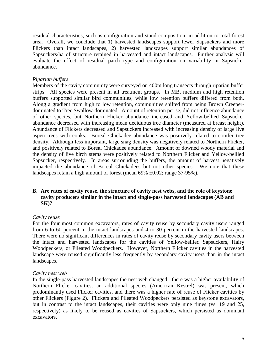residual characteristics, such as configuration and stand composition, in addition to total forest area. Overall, we conclude that 1) harvested landscapes support fewer Sapsuckers and more Flickers than intact landscapes, 2) harvested landscapes support similar abundances of Sapsuckers/ha of structure retained in harvested and intact landscapes. Further analysis will evaluate the effect of residual patch type and configuration on variability in Sapsucker abundance.

#### *Riparian buffers*

Members of the cavity community were surveyed on 400m long transects through riparian buffer strips. All species were present in all treatment groups. In MB, medium and high retention buffers supported similar bird communities, while low retention buffers differed from both. Along a gradient from high to low retention, communities shifted from being Brown Creeperdominated to Tree Swallow-dominated. Amount of retention per se, did not influence abundance of other species, but Northern Flicker abundance increased and Yellow-bellied Sapsucker abundance decreased with increasing mean deciduous tree diameter (measured at breast height). Abundance of Flickers decreased and Sapsuckers increased with increasing density of large live aspen trees with conks. Boreal Chickadee abundance was positively related to conifer tree density. Although less important, large snag density was negatively related to Northern Flicker, and positively related to Boreal Chickadee abundance. Amount of downed woody material and the density of live birch stems were positively related to Northern Flicker and Yellow-bellied Sapsucker, respectively. In areas surrounding the buffers, the amount of harvest negatively impacted the abundance of Boreal Chickadees but not other species. We note that these landscapes retain a high amount of forest (mean 69% ±0.02; range 37-95%).

#### **B. Are rates of cavity reuse, the structure of cavity nest webs, and the role of keystone cavity producers similar in the intact and single-pass harvested landscapes (AB and SK)?**

#### *Cavity reuse*

For the four most common excavators, rates of cavity reuse by secondary cavity users ranged from 6 to 60 percent in the intact landscapes and 4 to 30 percent in the harvested landscapes. There were no significant differences in rates of cavity reuse by secondary cavity users between the intact and harvested landscapes for the cavities of Yellow-bellied Sapsuckers, Hairy Woodpeckers, or Pileated Woodpeckers. However, Northern Flicker cavities in the harvested landscape were reused significantly less frequently by secondary cavity users than in the intact landscapes.

#### *Cavity nest web*

In the single-pass harvested landscapes the nest web changed: there was a higher availability of Northern Flicker cavities, an additional species (American Kestrel) was present, which predominantly used Flicker cavities, and there was a higher rate of reuse of Flicker cavities by other Flickers (Figure 2). Flickers and Pileated Woodpeckers persisted as keystone excavators, but in contrast to the intact landscapes, their cavities were only nine times (vs. 19 and 25, respectively) as likely to be reused as cavities of Sapsuckers, which persisted as dominant excavators.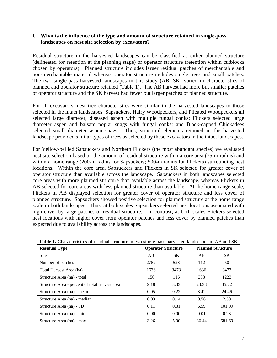#### **C. What is the influence of the type and amount of structure retained in single-pass landscapes on nest site selection by excavators?**

Residual structure in the harvested landscapes can be classified as either planned structure (delineated for retention at the planning stage) or operator structure (retention within cutblocks chosen by operators). Planned structure includes larger residual patches of merchantable and non-merchantable material whereas operator structure includes single trees and small patches. The two single-pass harvested landscapes in this study (AB, SK) varied in characteristics of planned and operator structure retained (Table 1). The AB harvest had more but smaller patches of operator structure and the SK harvest had fewer but larger patches of planned structure.

For all excavators, nest tree characteristics were similar in the harvested landscapes to those selected in the intact landscapes: Sapsuckers, Hairy Woodpeckers, and Pileated Woodpeckers all selected large diameter, diseased aspen with multiple fungal conks; Flickers selected large diameter aspen and balsam poplar snags with fungal conks; and Black-capped Chickadees selected small diameter aspen snags. Thus, structural elements retained in the harvested landscape provided similar types of trees as selected by these excavators in the intact landscapes.

For Yellow-bellied Sapsuckers and Northern Flickers (the most abundant species) we evaluated nest site selection based on the amount of residual structure within a core area (75-m radius) and within a home range (200-m radius for Sapsuckers; 500-m radius for Flickers) surrounding nest locations. Within the core area, Sapsuckers and Flickers in SK selected for greater cover of operator structure than available across the landscape. Sapsuckers in both landscapes selected core areas with more planned structure than available across the landscape, whereas Flickers in AB selected for core areas with less planned structure than available. At the home range scale, Flickers in AB displayed selection for greater cover of operator structure and less cover of planned structure. Sapsuckers showed positive selection for planned structure at the home range scale in both landscapes. Thus, at both scales Sapsuckers selected nest locations associated with high cover by large patches of residual structure. In contrast, at both scales Flickers selected nest locations with higher cover from operator patches and less cover by planned patches than expected due to availability across the landscapes.

| <b>Residual Type</b>                           |      | <b>Operator Structure</b> | <b>Planned Structure</b> |           |  |
|------------------------------------------------|------|---------------------------|--------------------------|-----------|--|
| <b>Site</b>                                    | AB   | <b>SK</b>                 | AB                       | <b>SK</b> |  |
| Number of patches                              | 2752 | 528                       | 112                      | 50        |  |
| Total Harvest Area (ha)                        | 1636 | 3473                      | 1636                     | 3473      |  |
| Structure Area (ha) - total                    | 150  | 116                       | 383                      | 1223      |  |
| Structure Area - percent of total harvest area | 9.18 | 3.33                      | 23.38                    | 35.22     |  |
| Structure Area (ha) - mean                     | 0.05 | 0.22                      | 3.42                     | 24.46     |  |
| Structure Area (ha) - median                   | 0.03 | 0.14                      | 0.56                     | 2.50      |  |
| Structure Area (ha) - SD                       | 0.11 | 0.31                      | 6.59                     | 101.09    |  |
| Structure Area (ha) - min                      | 0.00 | 0.00                      | 0.01                     | 0.23      |  |
| Structure Area (ha) - max                      | 3.26 | 5.00                      | 36.44                    | 681.69    |  |

|  |  |  |  |  | Table 1. Characteristics of residual structure in two single-pass harvested landscapes in AB and SK |  |  |  |
|--|--|--|--|--|-----------------------------------------------------------------------------------------------------|--|--|--|
|  |  |  |  |  |                                                                                                     |  |  |  |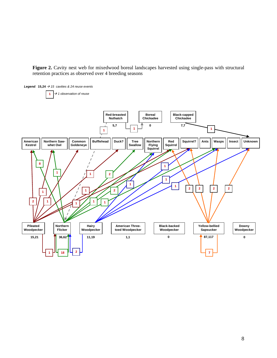Figure 2. Cavity nest web for mixedwood boreal landscapes harvested using single-pass with structural retention practices as observed over 4 breeding seasons

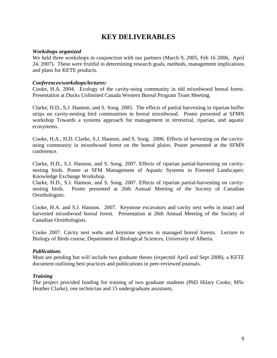# **KEY DELIVERABLES**

#### *Workshops organized*

We held three workshops in conjunction with our partners (March 9, 2005, Feb 16 2006, April 24, 2007). These were fruitful in determining research goals, methods, management implications and plans for KETE products.

#### *Conferences/workshops/lectures:*

Cooke, H.A. 2004. Ecology of the cavity-using community in old mixedwood boreal forest. Presentation at Ducks Unlimited Canada Western Boreal Program Team Meeting.

Clarke, H.D., S.J. Hannon, and S. Song. 2005. The effects of partial harvesting in riparian buffer strips on cavity-nesting bird communities in boreal mixedwood. Poster presented at SFMN workshop Towards a systems approach for management in terrestrial, riparian, and aquatic ecosystems.

Cooke, H.A., H.D. Clarke, S.J. Hannon, and S. Song. 2006. Effects of harvesting on the cavityusing community in mixedwood forest on the boreal plains. Poster presented at the SFMN conference.

Clarke, H.D., S.J. Hannon, and S. Song. 2007. Effects of riparian partial-harvesting on cavitynesting birds. Poster at SFM Management of Aquatic Systems in Forested Landscapes: Knowledge Exchange Workshop.

Clarke, H.D., S.J. Hannon, and S. Song. 2007. Effects of riparian partial-harvesting on cavitynesting birds. Poster presented at 26th Annual Meeting of the Society of Canadian Ornithologists.

Cooke, H.A. and S.J. Hannon. 2007. Keystone excavators and cavity nest webs in intact and harvested mixedwood boreal forest. Presentation at 26th Annual Meeting of the Society of Canadian Ornithologists.

Cooke 2007. Cavity nest webs and keystone species in managed boreal forests. Lecture to Biology of Birds course, Department of Biological Sciences, University of Alberta.

#### *Publications*

Most are pending but will include two graduate theses (expected April and Sept 2008), a KETE document outlining best practices and publications in peer-reviewed journals.

#### *Training*

The project provided funding for training of two graduate students (PhD Hilary Cooke, MSc Heather Clarke), one technician and 15 undergraduate assistants.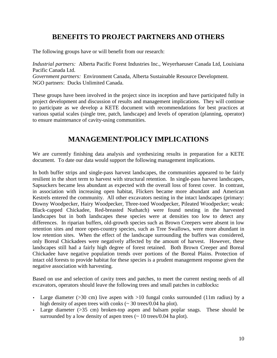# **BENEFITS TO PROJECT PARTNERS AND OTHERS**

The following groups have or will benefit from our research:

*Industrial partners:* Alberta Pacific Forest Industries Inc., Weyerhaeuser Canada Ltd, Louisiana Pacific Canada Ltd. *Government partners:* Environment Canada, Alberta Sustainable Resource Development. NGO partners: Ducks Unlimited Canada.

These groups have been involved in the project since its inception and have participated fully in project development and discussion of results and management implications. They will continue to participate as we develop a KETE document with recommendations for best practices at various spatial scales (single tree, patch, landscape) and levels of operation (planning, operator) to ensure maintenance of cavity-using communities.

# **MANAGEMENT/POLICY IMPLICATIONS**

We are currently finishing data analysis and synthesizing results in preparation for a KETE document. To date our data would support the following management implications.

In both buffer strips and single-pass harvest landscapes, the communities appeared to be fairly resilient in the short term to harvest with structural retention. In single-pass harvest landscapes, Sapsuckers became less abundant as expected with the overall loss of forest cover. In contrast, in association with increasing open habitat, Flickers became more abundant and American Kestrels entered the community. All other excavators nesting in the intact landscapes (primary: Downy Woodpecker, Hairy Woodpecker, Three-toed Woodpecker, Pileated Woodpecker; weak: Black-capped Chickadee, Red-breasted Nuthatch) were found nesting in the harvested landscapes but in both landscapes these species were at densities too low to detect any differences. In riparian buffers, old-growth species such as Brown Creepers were absent in low retention sites and more open-country species, such as Tree Swallows, were more abundant in low retention sites. When the effect of the landscape surrounding the buffers was considered, only Boreal Chickadees were negatively affected by the amount of harvest. However, these landscapes still had a fairly high degree of forest retained. Both Brown Creeper and Boreal Chickadee have negative population trends over portions of the Boreal Plains. Protection of intact old forests to provide habitat for these species is a prudent management response given the negative association with harvesting.

Based on use and selection of cavity trees and patches, to meet the current nesting needs of all excavators, operators should leave the following trees and small patches in cutblocks**:** 

- Large diameter ( $>30$  cm) live aspen with  $>10$  fungal conks surrounded (11m radius) by a high density of aspen trees with conks ( $\sim$  30 trees/0.04 ha plot).
- Large diameter (>35 cm) broken-top aspen and balsam poplar snags. These should be surrounded by a low density of aspen trees  $($   $\sim$  10 trees/0.04 ha plot).